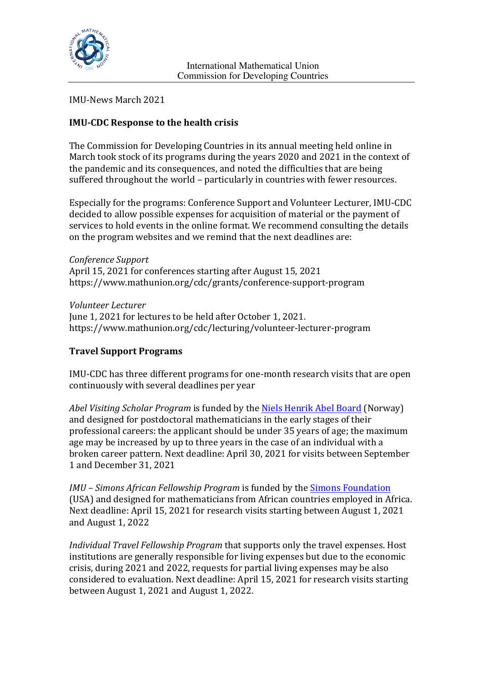

IMU-News March 2021

# **IMU-CDC Response to the health crisis**

The Commission for Developing Countries in its annual meeting held online in March took stock of its programs during the years 2020 and 2021 in the context of the pandemic and its consequences, and noted the difficulties that are being suffered throughout the world – particularly in countries with fewer resources.

Especially for the programs: Conference Support and Volunteer Lecturer, IMU-CDC decided to allow possible expenses for acquisition of material or the payment of services to hold events in the online format. We recommend consulting the details on the program websites and we remind that the next deadlines are:

*Conference Support* April 15, 2021 for conferences starting after August 15, 2021 https://www.mathunion.org/cdc/grants/conference-support-program

*Volunteer Lecturer* June 1, 2021 for lectures to be held after October 1, 2021. https://www.mathunion.org/cdc/lecturing/volunteer-lecturer-program

## **Travel Support Programs**

IMU-CDC has three different programs for one-month research visits that are open continuously with several deadlines per year

*Abel Visiting Scholar Program* is funded by the Niels Henrik Abel Board (Norway) and designed for postdoctoral mathematicians in the early stages of their professional careers: the applicant should be under 35 years of age; the maximum age may be increased by up to three years in the case of an individual with a broken career pattern. Next deadline: April 30, 2021 for visits between September 1 and December 31, 2021

*IMU* – *Simons African Fellowship Program* is funded by the **Simons Foundation** (USA) and designed for mathematicians from African countries employed in Africa. Next deadline: April 15, 2021 for research visits starting between August 1, 2021 and August 1, 2022

*Individual Travel Fellowship Program* that supports only the travel expenses. Host institutions are generally responsible for living expenses but due to the economic crisis, during 2021 and 2022, requests for partial living expenses may be also considered to evaluation. Next deadline: April 15, 2021 for research visits starting between August 1, 2021 and August 1, 2022.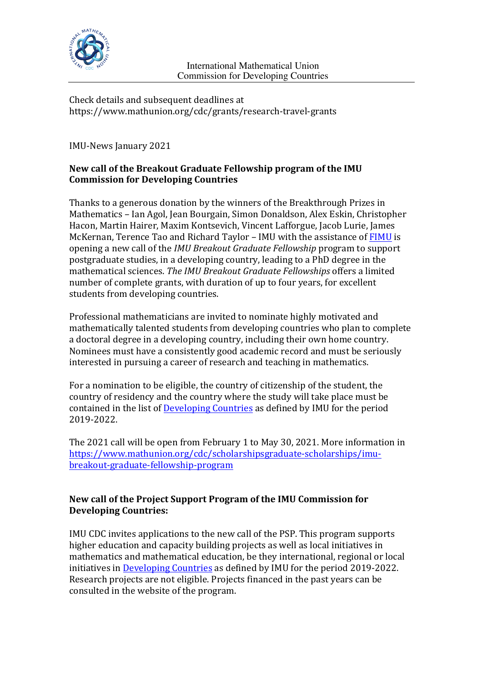

Check details and subsequent deadlines at https://www.mathunion.org/cdc/grants/research-travel-grants

IMU-News January 2021

# New call of the Breakout Graduate Fellowship program of the IMU **Commission for Developing Countries**

Thanks to a generous donation by the winners of the Breakthrough Prizes in Mathematics – Ian Agol, Jean Bourgain, Simon Donaldson, Alex Eskin, Christopher Hacon, Martin Hairer, Maxim Kontsevich, Vincent Lafforgue, Jacob Lurie, James McKernan, Terence Tao and Richard Taylor – IMU with the assistance of FIMU is opening a new call of the *IMU Breakout Graduate Fellowship* program to support postgraduate studies, in a developing country, leading to a PhD degree in the mathematical sciences. The IMU Breakout Graduate Fellowships offers a limited number of complete grants, with duration of up to four years, for excellent students from developing countries.

Professional mathematicians are invited to nominate highly motivated and mathematically talented students from developing countries who plan to complete a doctoral degree in a developing country, including their own home country. Nominees must have a consistently good academic record and must be seriously interested in pursuing a career of research and teaching in mathematics.

For a nomination to be eligible, the country of citizenship of the student, the country of residency and the country where the study will take place must be contained in the list of Developing Countries as defined by IMU for the period 2019-2022. 

The 2021 call will be open from February 1 to May 30, 2021. More information in https://www.mathunion.org/cdc/scholarshipsgraduate-scholarships/imubreakout-graduate-fellowship-program

## New call of the Project Support Program of the IMU Commission for **Developing Countries:**

IMU CDC invites applications to the new call of the PSP. This program supports higher education and capacity building projects as well as local initiatives in mathematics and mathematical education, be they international, regional or local initiatives in Developing Countries as defined by IMU for the period 2019-2022. Research projects are not eligible. Projects financed in the past years can be consulted in the website of the program.